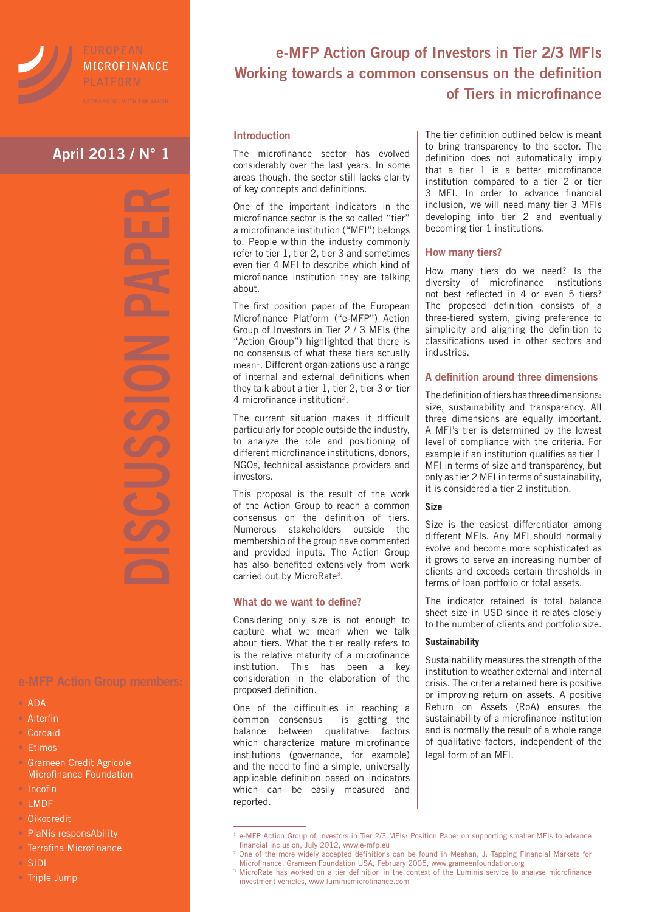

# MICROFINANCE

# **April 2013 / N° 1**

- ADA
- Alterfin
- Cordaid
- Etimos
- **Grameen Credit Agricole** Microfinance Foundation
- Incofin
- LMDF
- Oikocredit
- PlaNis responsAbility
- Terrafina Microfinance
- SIDI
- Triple Jump

## **e-MFP Action Group of Investors in Tier 2/3 MFIs Working towards a common consensus on the definition of Tiers in microfinance**

### **Introduction**

The microfinance sector has evolved considerably over the last years. In some areas though, the sector still lacks clarity of key concepts and definitions.

One of the important indicators in the microfinance sector is the so called "tier" a microfinance institution ("MFI") belongs to. People within the industry commonly refer to tier 1, tier 2, tier 3 and sometimes even tier 4 MFI to describe which kind of microfinance institution they are talking about.

The first position paper of the European Microfinance Platform ("e-MFP") Action Group of Investors in Tier 2 / 3 MFIs (the "Action Group") highlighted that there is no consensus of what these tiers actually mean<sup>1</sup>. Different organizations use a range of internal and external definitions when they talk about a tier 1, tier 2, tier 3 or tier 4 microfinance institution2.

The current situation makes it difficult particularly for people outside the industry, to analyze the role and positioning of different microfinance institutions, donors, NGOs, technical assistance providers and investors.

This proposal is the result of the work of the Action Group to reach a common consensus on the definition of tiers. Numerous stakeholders outside the membership of the group have commented and provided inputs. The Action Group has also benefited extensively from work carried out by MicroRate<sup>3</sup>.

### **What do we want to define?**

Considering only size is not enough to capture what we mean when we talk about tiers. What the tier really refers to is the relative maturity of a microfinance institution. This has been a key consideration in the elaboration of the proposed definition.

One of the difficulties in reaching a<br>common consensus is getting the common consensus balance between qualitative factors which characterize mature microfinance institutions (governance, for example) and the need to find a simple, universally applicable definition based on indicators which can be easily measured and reported.

The tier definition outlined below is meant to bring transparency to the sector. The definition does not automatically imply that a tier 1 is a better microfinance institution compared to a tier 2 or tier 3 MFI. In order to advance financial inclusion, we will need many tier 3 MFIs developing into tier 2 and eventually becoming tier 1 institutions.

#### **How many tiers?**

How many tiers do we need? Is the diversity of microfinance institutions not best reflected in 4 or even 5 tiers? The proposed definition consists of a three-tiered system, giving preference to simplicity and aligning the definition to classifications used in other sectors and industries.

### **A definition around three dimensions**

The definition of tiers has three dimensions: size, sustainability and transparency. All three dimensions are equally important. A MFI's tier is determined by the lowest level of compliance with the criteria. For example if an institution qualifies as tier 1 MFI in terms of size and transparency, but only as tier 2 MFI in terms of sustainability, it is considered a tier 2 institution.

#### **Size**

Size is the easiest differentiator among different MFIs. Any MFI should normally evolve and become more sophisticated as it grows to serve an increasing number of clients and exceeds certain thresholds in terms of loan portfolio or total assets.

The indicator retained is total balance sheet size in USD since it relates closely to the number of clients and portfolio size.

#### **Sustainability**

Sustainability measures the strength of the institution to weather external and internal crisis. The criteria retained here is positive or improving return on assets. A positive Return on Assets (RoA) ensures the sustainability of a microfinance institution and is normally the result of a whole range of qualitative factors, independent of the legal form of an MFI.

<sup>&</sup>lt;sup>1</sup> e-MFP Action Group of Investors in Tier 2/3 MFIs: Position Paper on supporting smaller MFIs to advance financial inclusion, July 2012, www.e-mfp.eu

<sup>2</sup> One of the more widely accepted definitions can be found in Meehan, J: Tapping Financial Markets for Microfinance, Grameen Foundation USA, February 2005, www.grameenfoundation.org

<sup>&</sup>lt;sup>3</sup> MicroRate has worked on a tier definition in the context of the Luminis service to analyse microfinance investment vehicles, www.luminismicrofinance.com